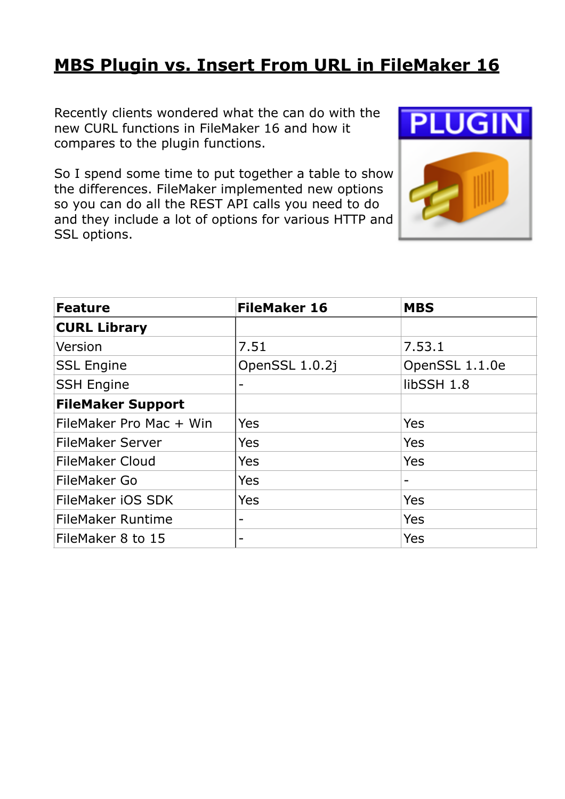## **[MBS Plugin vs. Insert From URL in FileMaker 16](https://www.mbsplugins.de/archive/2017-07-05/MBS_Plugin_vs_Insert_From_URL_)**

Recently clients wondered what the can do with the new CURL functions in FileMaker 16 and how it compares to the plugin functions.

So I spend some time to put together a table to show the differences. FileMaker implemented new options so you can do all the REST API calls you need to do and they include a lot of options for various HTTP and SSL options.



| <b>Feature</b>           | <b>FileMaker 16</b> | <b>MBS</b>     |
|--------------------------|---------------------|----------------|
| <b>CURL Library</b>      |                     |                |
| Version                  | 7.51                | 7.53.1         |
| <b>SSL Engine</b>        | OpenSSL 1.0.2j      | OpenSSL 1.1.0e |
| <b>SSH Engine</b>        |                     | libSSH 1.8     |
| <b>FileMaker Support</b> |                     |                |
| FileMaker Pro Mac + Win  | Yes                 | Yes            |
| <b>FileMaker Server</b>  | Yes                 | Yes            |
| <b>FileMaker Cloud</b>   | Yes                 | Yes            |
| FileMaker Go             | Yes                 |                |
| FileMaker iOS SDK        | Yes                 | Yes            |
| <b>FileMaker Runtime</b> |                     | Yes            |
| FileMaker 8 to 15        |                     | Yes            |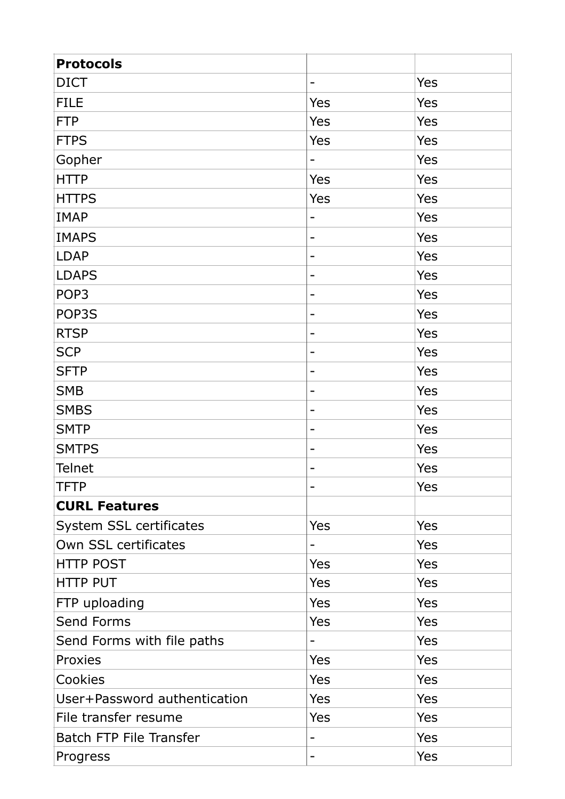| <b>Protocols</b>               |                              |     |
|--------------------------------|------------------------------|-----|
| <b>DICT</b>                    | $\qquad \qquad \blacksquare$ | Yes |
| <b>FILE</b>                    | Yes                          | Yes |
| <b>FTP</b>                     | Yes                          | Yes |
| <b>FTPS</b>                    | Yes                          | Yes |
| Gopher                         |                              | Yes |
| <b>HTTP</b>                    | Yes                          | Yes |
| <b>HTTPS</b>                   | Yes                          | Yes |
| <b>IMAP</b>                    | $\qquad \qquad$              | Yes |
| <b>IMAPS</b>                   | $\qquad \qquad \blacksquare$ | Yes |
| <b>LDAP</b>                    | -                            | Yes |
| <b>LDAPS</b>                   | -                            | Yes |
| POP <sub>3</sub>               | -                            | Yes |
| POP3S                          | -                            | Yes |
| <b>RTSP</b>                    | -                            | Yes |
| <b>SCP</b>                     | -                            | Yes |
| <b>SFTP</b>                    | ۰                            | Yes |
| <b>SMB</b>                     | -                            | Yes |
| <b>SMBS</b>                    | -                            | Yes |
| <b>SMTP</b>                    | -                            | Yes |
| <b>SMTPS</b>                   | $\qquad \qquad$              | Yes |
| <b>Telnet</b>                  | $\overline{\phantom{0}}$     | Yes |
| <b>TFTP</b>                    | $\qquad \qquad$              | Yes |
| <b>CURL Features</b>           |                              |     |
| System SSL certificates        | Yes                          | Yes |
| Own SSL certificates           | $\qquad \qquad -$            | Yes |
| <b>HTTP POST</b>               | Yes                          | Yes |
| <b>HTTP PUT</b>                | Yes                          | Yes |
| FTP uploading                  | Yes                          | Yes |
| Send Forms                     | Yes                          | Yes |
| Send Forms with file paths     | $\qquad \qquad -$            | Yes |
| Proxies                        | Yes                          | Yes |
| Cookies                        | Yes                          | Yes |
| User+Password authentication   | Yes                          | Yes |
| File transfer resume           | Yes                          | Yes |
| <b>Batch FTP File Transfer</b> | $\overline{\phantom{a}}$     | Yes |
| Progress                       | $\overline{\phantom{a}}$     | Yes |